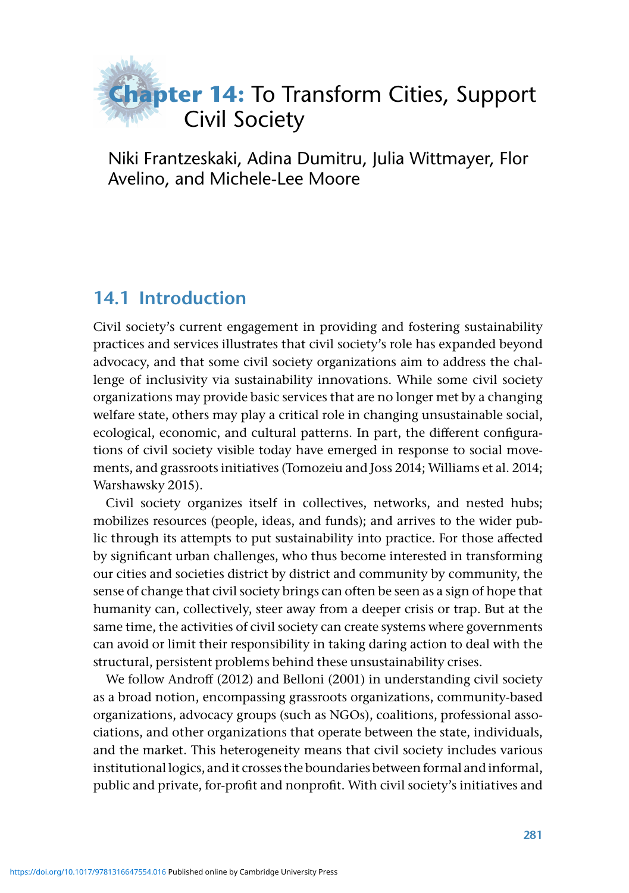

Niki Frantzeskaki, Adina Dumitru, Julia Wittmayer, Flor Avelino, and Michele-Lee Moore

## **14.1 Introduction**

 Civil society's current engagement in providing and fostering sustainability practices and services illustrates that civil society's role has expanded beyond advocacy, and that some civil society organizations aim to address the challenge of inclusivity via sustainability innovations. While some civil society organizations may provide basic services that are no longer met by a changing welfare state, others may play a critical role in changing unsustainable social, ecological, economic, and cultural patterns. In part, the different configurations of civil society visible today have emerged in response to social movements, and grassroots initiatives (Tomozeiu and Joss 2014; Williams et al. 2014; Warshawsky 2015).

 Civil society organizes itself in collectives, networks, and nested hubs; mobilizes resources (people, ideas, and funds); and arrives to the wider public through its attempts to put sustainability into practice. For those affected by significant urban challenges, who thus become interested in transforming our cities and societies district by district and community by community, the sense of change that civil society brings can often be seen as a sign of hope that humanity can, collectively, steer away from a deeper crisis or trap. But at the same time, the activities of civil society can create systems where governments can avoid or limit their responsibility in taking daring action to deal with the structural, persistent problems behind these unsustainability crises.

We follow Androff (2012) and Belloni (2001) in understanding civil society as a broad notion, encompassing grassroots organizations, community-based organizations, advocacy groups (such as NGOs), coalitions, professional associations, and other organizations that operate between the state, individuals, and the market. This heterogeneity means that civil society includes various institutional logics, and it crosses the boundaries between formal and informal, public and private, for-profit and nonprofit. With civil society's initiatives and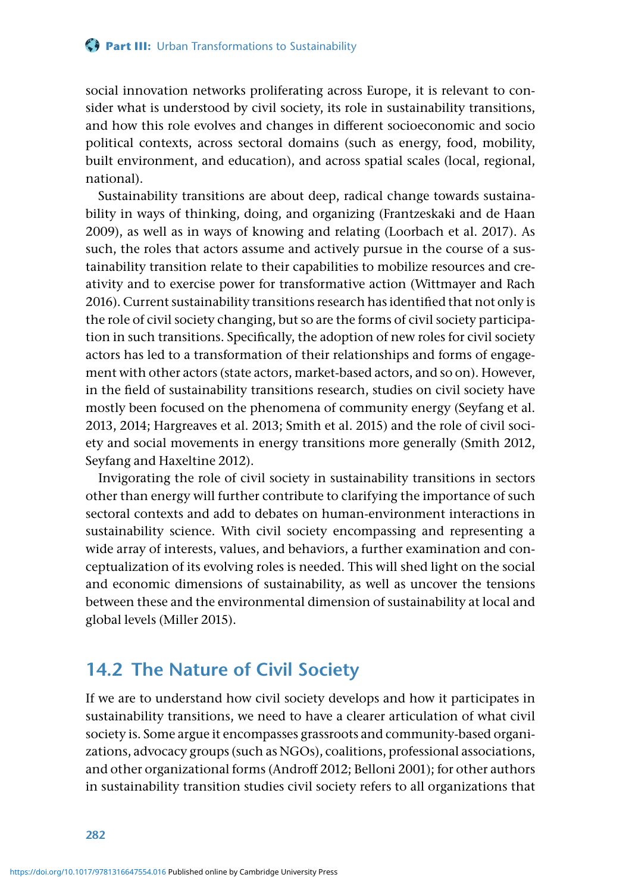social innovation networks proliferating across Europe, it is relevant to consider what is understood by civil society, its role in sustainability transitions, and how this role evolves and changes in different socioeconomic and socio political contexts, across sectoral domains (such as energy, food, mobility, built environment, and education), and across spatial scales (local, regional, national).

Sustainability transitions are about deep, radical change towards sustainability in ways of thinking, doing, and organizing (Frantzeskaki and de Haan 2009), as well as in ways of knowing and relating (Loorbach et al. 2017). As such, the roles that actors assume and actively pursue in the course of a sustainability transition relate to their capabilities to mobilize resources and creativity and to exercise power for transformative action (Wittmayer and Rach 2016). Current sustainability transitions research has identified that not only is the role of civil society changing, but so are the forms of civil society participation in such transitions. Specifically, the adoption of new roles for civil society actors has led to a transformation of their relationships and forms of engagement with other actors (state actors, market-based actors, and so on). However, in the field of sustainability transitions research, studies on civil society have mostly been focused on the phenomena of community energy (Seyfang et al. 2013, 2014; Hargreaves et al. 2013; Smith et al. 2015) and the role of civil society and social movements in energy transitions more generally (Smith 2012, Seyfang and Haxeltine 2012).

Invigorating the role of civil society in sustainability transitions in sectors other than energy will further contribute to clarifying the importance of such sectoral contexts and add to debates on human-environment interactions in sustainability science. With civil society encompassing and representing a wide array of interests, values, and behaviors, a further examination and conceptualization of its evolving roles is needed. This will shed light on the social and economic dimensions of sustainability, as well as uncover the tensions between these and the environmental dimension of sustainability at local and global levels (Miller 2015).

#### **14.2 The Nature of Civil Society**

If we are to understand how civil society develops and how it participates in sustainability transitions, we need to have a clearer articulation of what civil society is. Some argue it encompasses grassroots and community-based organizations, advocacy groups (such as NGOs), coalitions, professional associations, and other organizational forms (Androff 2012; Belloni 2001); for other authors in sustainability transition studies civil society refers to all organizations that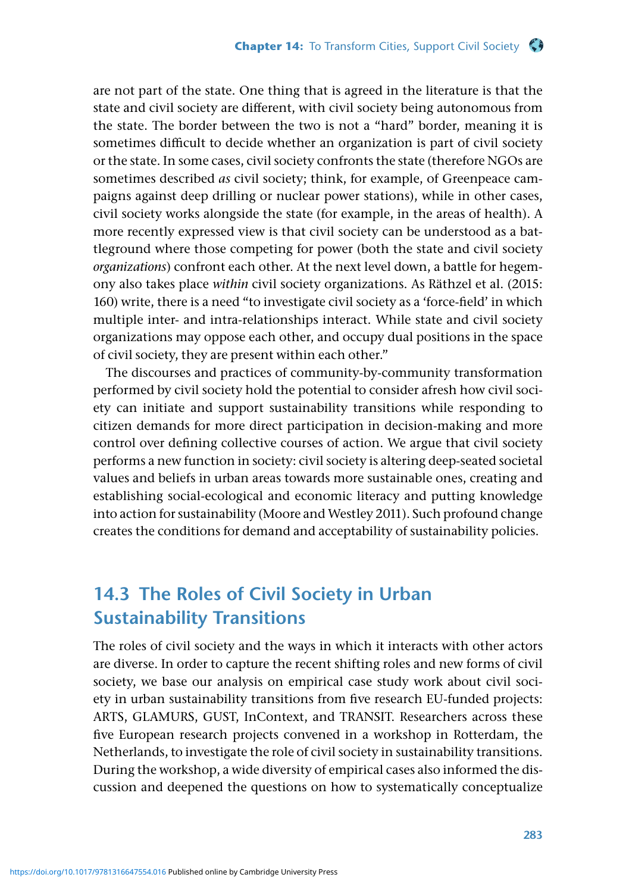are not part of the state. One thing that is agreed in the literature is that the state and civil society are different, with civil society being autonomous from the state. The border between the two is not a "hard" border, meaning it is sometimes difficult to decide whether an organization is part of civil society or the state. In some cases, civil society confronts the state (therefore NGOs are sometimes described *as* civil society; think, for example, of Greenpeace campaigns against deep drilling or nuclear power stations), while in other cases, civil society works alongside the state (for example, in the areas of health). A more recently expressed view is that civil society can be understood as a battleground where those competing for power (both the state and civil society *organizations*) confront each other. At the next level down, a battle for hegemony also takes place *within* civil society organizations. As Räthzel et al. (2015: 160) write, there is a need "to investigate civil society as a 'force-field' in which multiple inter- and intra-relationships interact. While state and civil society organizations may oppose each other, and occupy dual positions in the space of civil society, they are present within each other."

The discourses and practices of community-by-community transformation performed by civil society hold the potential to consider afresh how civil society can initiate and support sustainability transitions while responding to citizen demands for more direct participation in decision-making and more control over defining collective courses of action. We argue that civil society performs a new function in society: civil society is altering deep-seated societal values and beliefs in urban areas towards more sustainable ones, creating and establishing social-ecological and economic literacy and putting knowledge into action for sustainability (Moore and Westley 2011). Such profound change creates the conditions for demand and acceptability of sustainability policies.

## **14.3 The Roles of Civil Society in Urban Sustainability Transitions**

The roles of civil society and the ways in which it interacts with other actors are diverse. In order to capture the recent shifting roles and new forms of civil society, we base our analysis on empirical case study work about civil society in urban sustainability transitions from five research EU-funded projects: ARTS, GLAMURS, GUST, InContext, and TRANSIT. Researchers across these five European research projects convened in a workshop in Rotterdam, the Netherlands, to investigate the role of civil society in sustainability transitions. During the workshop, a wide diversity of empirical cases also informed the discussion and deepened the questions on how to systematically conceptualize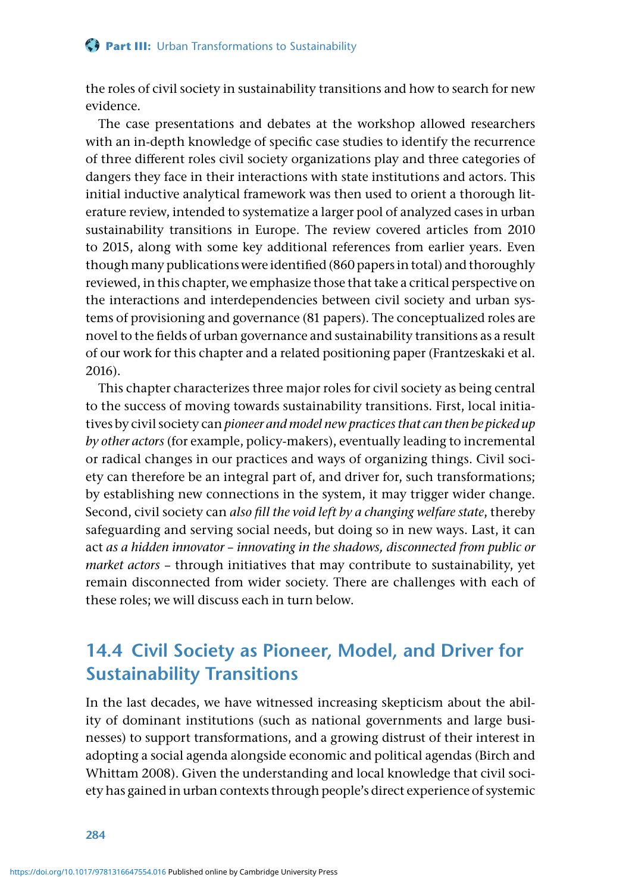the roles of civil society in sustainability transitions and how to search for new evidence.

The case presentations and debates at the workshop allowed researchers with an in-depth knowledge of specific case studies to identify the recurrence of three different roles civil society organizations play and three categories of dangers they face in their interactions with state institutions and actors. This initial inductive analytical framework was then used to orient a thorough literature review, intended to systematize a larger pool of analyzed cases in urban sustainability transitions in Europe. The review covered articles from 2010 to 2015, along with some key additional references from earlier years. Even though many publications were identified (860 papers in total) and thoroughly reviewed, in this chapter, we emphasize those that take a critical perspective on the interactions and interdependencies between civil society and urban systems of provisioning and governance (81 papers). The conceptualized roles are novel to the fields of urban governance and sustainability transitions as a result of our work for this chapter and a related positioning paper (Frantzeskaki et al. 2016).

This chapter characterizes three major roles for civil society as being central to the success of moving towards sustainability transitions. First, local initiatives by civil society can *pioneer and model new practices that can then be picked up by other actors* (for example, policy-makers), eventually leading to incremental or radical changes in our practices and ways of organizing things. Civil society can therefore be an integral part of, and driver for, such transformations; by establishing new connections in the system, it may trigger wider change. Second, civil society can *also fill the void left by a changing welfare state*, thereby safeguarding and serving social needs, but doing so in new ways. Last, it can act *as a hidden innovator – innovating in the shadows, disconnected from public or market actors* – through initiatives that may contribute to sustainability, yet remain disconnected from wider society. There are challenges with each of these roles; we will discuss each in turn below.

# **14.4 Civil Society as Pioneer, Model, and Driver for Sustainability Transitions**

In the last decades, we have witnessed increasing skepticism about the ability of dominant institutions (such as national governments and large businesses) to support transformations, and a growing distrust of their interest in adopting a social agenda alongside economic and political agendas (Birch and Whittam 2008). Given the understanding and local knowledge that civil society has gained in urban contexts through people's direct experience of systemic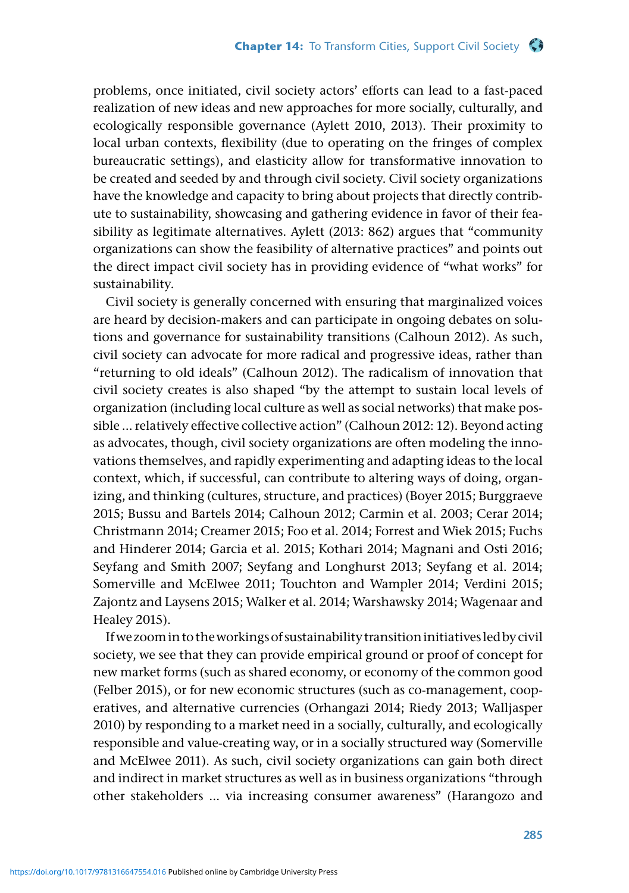problems, once initiated, civil society actors' efforts can lead to a fast-paced realization of new ideas and new approaches for more socially, culturally, and ecologically responsible governance (Aylett 2010, 2013). Their proximity to local urban contexts, flexibility (due to operating on the fringes of complex bureaucratic settings), and elasticity allow for transformative innovation to be created and seeded by and through civil society. Civil society organizations have the knowledge and capacity to bring about projects that directly contribute to sustainability, showcasing and gathering evidence in favor of their feasibility as legitimate alternatives. Aylett (2013: 862) argues that "community organizations can show the feasibility of alternative practices" and points out the direct impact civil society has in providing evidence of "what works" for sustainability.

Civil society is generally concerned with ensuring that marginalized voices are heard by decision-makers and can participate in ongoing debates on solutions and governance for sustainability transitions (Calhoun 2012). As such, civil society can advocate for more radical and progressive ideas, rather than "returning to old ideals" (Calhoun 2012). The radicalism of innovation that civil society creates is also shaped "by the attempt to sustain local levels of organization (including local culture as well as social networks) that make possible … relatively effective collective action" (Calhoun 2012: 12). Beyond acting as advocates, though, civil society organizations are often modeling the innovations themselves, and rapidly experimenting and adapting ideas to the local context, which, if successful, can contribute to altering ways of doing, organizing, and thinking (cultures, structure, and practices) (Boyer 2015; Burggraeve 2015; Bussu and Bartels 2014; Calhoun 2012; Carmin et al. 2003; Cerar 2014; Christmann 2014; Creamer 2015; Foo et al. 2014; Forrest and Wiek 2015; Fuchs and Hinderer 2014; Garcia et al. 2015; Kothari 2014; Magnani and Osti 2016; Seyfang and Smith 2007; Seyfang and Longhurst 2013; Seyfang et al. 2014; Somerville and McElwee 2011; Touchton and Wampler 2014; Verdini 2015; Zajontz and Laysens 2015; Walker et al. 2014; Warshawsky 2014; Wagenaar and Healey 2015).

If we zoom in to the workings of sustainability transition initiatives led by civil society, we see that they can provide empirical ground or proof of concept for new market forms (such as shared economy, or economy of the common good (Felber 2015), or for new economic structures (such as co-management, cooperatives, and alternative currencies (Orhangazi 2014; Riedy 2013; Walljasper 2010) by responding to a market need in a socially, culturally, and ecologically responsible and value-creating way, or in a socially structured way (Somerville and McElwee 2011). As such, civil society organizations can gain both direct and indirect in market structures as well as in business organizations "through other stakeholders … via increasing consumer awareness" (Harangozo and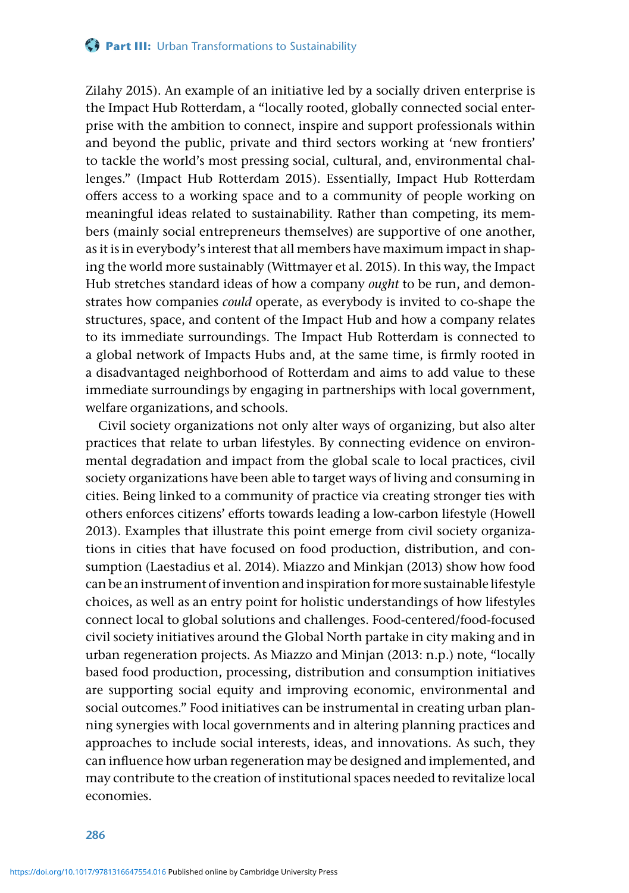Zilahy 2015). An example of an initiative led by a socially driven enterprise is the Impact Hub Rotterdam, a "locally rooted, globally connected social enterprise with the ambition to connect, inspire and support professionals within and beyond the public, private and third sectors working at 'new frontiers' to tackle the world's most pressing social, cultural, and, environmental challenges." (Impact Hub Rotterdam 2015). Essentially, Impact Hub Rotterdam offers access to a working space and to a community of people working on meaningful ideas related to sustainability. Rather than competing, its members (mainly social entrepreneurs themselves) are supportive of one another, as it is in everybody's interest that all members have maximum impact in shaping the world more sustainably (Wittmayer et al. 2015). In this way, the Impact Hub stretches standard ideas of how a company *ought* to be run, and demonstrates how companies *could* operate, as everybody is invited to co-shape the structures, space, and content of the Impact Hub and how a company relates to its immediate surroundings. The Impact Hub Rotterdam is connected to a global network of Impacts Hubs and, at the same time, is firmly rooted in a disadvantaged neighborhood of Rotterdam and aims to add value to these immediate surroundings by engaging in partnerships with local government, welfare organizations, and schools.

Civil society organizations not only alter ways of organizing, but also alter practices that relate to urban lifestyles. By connecting evidence on environmental degradation and impact from the global scale to local practices, civil society organizations have been able to target ways of living and consuming in cities. Being linked to a community of practice via creating stronger ties with others enforces citizens' efforts towards leading a low-carbon lifestyle (Howell 2013). Examples that illustrate this point emerge from civil society organizations in cities that have focused on food production, distribution, and consumption (Laestadius et al. 2014). Miazzo and Minkjan (2013) show how food can be an instrument of invention and inspiration for more sustainable lifestyle choices, as well as an entry point for holistic understandings of how lifestyles connect local to global solutions and challenges. Food-centered/food-focused civil society initiatives around the Global North partake in city making and in urban regeneration projects. As Miazzo and Minjan (2013: n.p.) note, "locally based food production, processing, distribution and consumption initiatives are supporting social equity and improving economic, environmental and social outcomes." Food initiatives can be instrumental in creating urban planning synergies with local governments and in altering planning practices and approaches to include social interests, ideas, and innovations. As such, they can influence how urban regeneration may be designed and implemented, and may contribute to the creation of institutional spaces needed to revitalize local economies.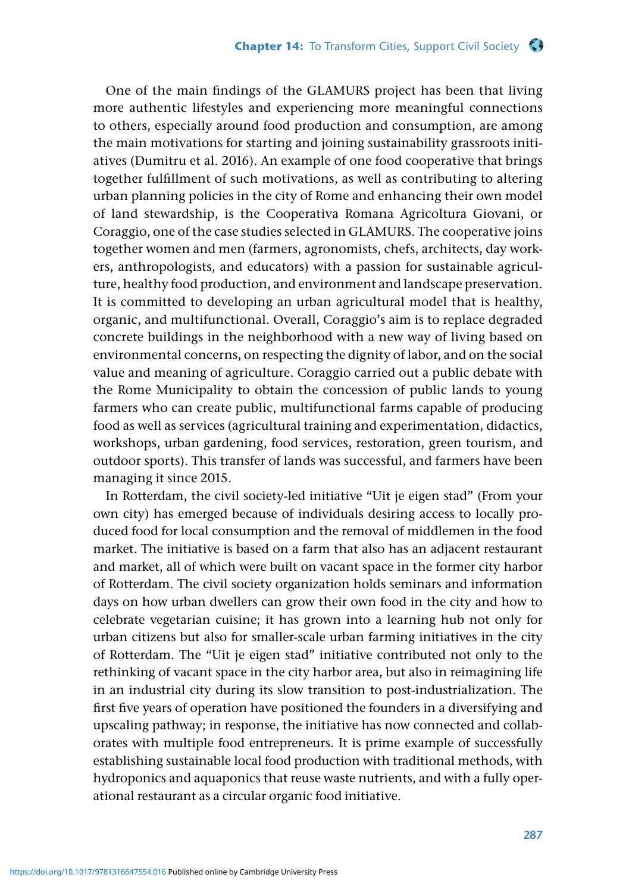One of the main findings of the GLAMURS project has been that living more authentic lifestyles and experiencing more meaningful connections to others, especially around food production and consumption, are among the main motivations for starting and joining sustainability grassroots initiatives (Dumitru et al. 2016). An example of one food cooperative that brings together fulfillment of such motivations, as well as contributing to altering urban planning policies in the city of Rome and enhancing their own model of land stewardship, is the Cooperativa Romana Agricoltura Giovani, or Coraggio, one of the case studies selected in GLAMURS. The cooperative joins together women and men (farmers, agronomists, chefs, architects, day workers, anthropologists, and educators) with a passion for sustainable agriculture, healthy food production, and environment and landscape preservation. It is committed to developing an urban agricultural model that is healthy, organic, and multifunctional. Overall, Coraggio's aim is to replace degraded concrete buildings in the neighborhood with a new way of living based on environmental concerns, on respecting the dignity of labor, and on the social value and meaning of agriculture. Coraggio carried out a public debate with the Rome Municipality to obtain the concession of public lands to young farmers who can create public, multifunctional farms capable of producing food as well as services (agricultural training and experimentation, didactics, workshops, urban gardening, food services, restoration, green tourism, and outdoor sports). This transfer of lands was successful, and farmers have been managing it since 2015.

In Rotterdam, the civil society-led initiative "Uit je eigen stad" (From your own city) has emerged because of individuals desiring access to locally produced food for local consumption and the removal of middlemen in the food market. The initiative is based on a farm that also has an adjacent restaurant and market, all of which were built on vacant space in the former city harbor of Rotterdam. The civil society organization holds seminars and information days on how urban dwellers can grow their own food in the city and how to celebrate vegetarian cuisine; it has grown into a learning hub not only for urban citizens but also for smaller-scale urban farming initiatives in the city of Rotterdam. The "Uit je eigen stad" initiative contributed not only to the rethinking of vacant space in the city harbor area, but also in reimagining life in an industrial city during its slow transition to post-industrialization. The first five years of operation have positioned the founders in a diversifying and upscaling pathway; in response, the initiative has now connected and collaborates with multiple food entrepreneurs. It is prime example of successfully establishing sustainable local food production with traditional methods, with hydroponics and aquaponics that reuse waste nutrients, and with a fully operational restaurant as a circular organic food initiative.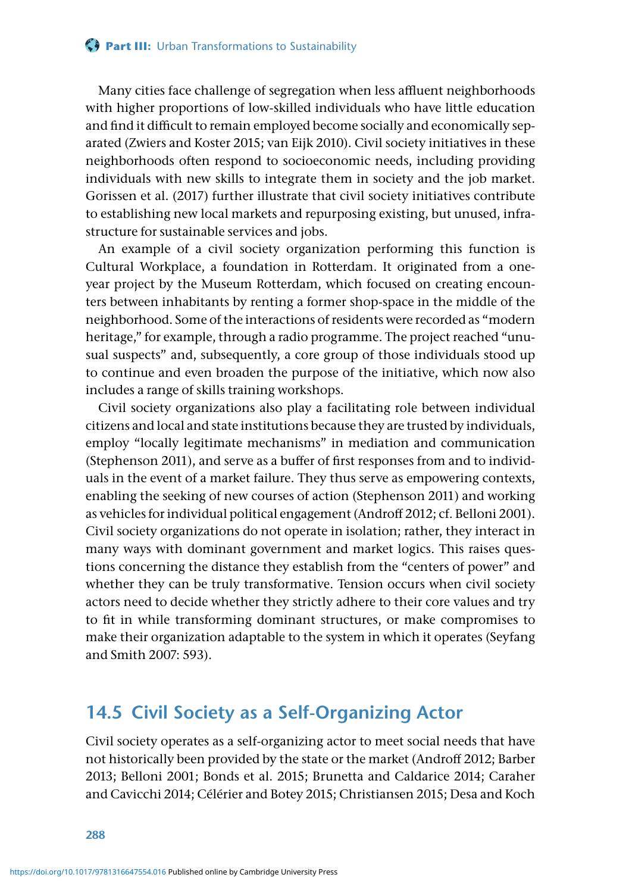Many cities face challenge of segregation when less affluent neighborhoods with higher proportions of low-skilled individuals who have little education and find it difficult to remain employed become socially and economically separated (Zwiers and Koster 2015; van Eijk 2010). Civil society initiatives in these neighborhoods often respond to socioeconomic needs, including providing individuals with new skills to integrate them in society and the job market. Gorissen et al. (2017) further illustrate that civil society initiatives contribute to establishing new local markets and repurposing existing, but unused, infrastructure for sustainable services and jobs.

An example of a civil society organization performing this function is Cultural Workplace, a foundation in Rotterdam. It originated from a oneyear project by the Museum Rotterdam, which focused on creating encounters between inhabitants by renting a former shop-space in the middle of the neighborhood. Some of the interactions of residents were recorded as "modern heritage," for example, through a radio programme. The project reached "unusual suspects" and, subsequently, a core group of those individuals stood up to continue and even broaden the purpose of the initiative, which now also includes a range of skills training workshops.

Civil society organizations also play a facilitating role between individual citizens and local and state institutions because they are trusted by individuals, employ "locally legitimate mechanisms" in mediation and communication (Stephenson 2011), and serve as a buffer of first responses from and to individuals in the event of a market failure. They thus serve as empowering contexts, enabling the seeking of new courses of action (Stephenson 2011) and working as vehicles for individual political engagement (Androff 2012; cf. Belloni 2001). Civil society organizations do not operate in isolation; rather, they interact in many ways with dominant government and market logics. This raises questions concerning the distance they establish from the "centers of power" and whether they can be truly transformative. Tension occurs when civil society actors need to decide whether they strictly adhere to their core values and try to fit in while transforming dominant structures, or make compromises to make their organization adaptable to the system in which it operates (Seyfang and Smith 2007: 593).

### **14.5 Civil Society as a Self-Organizing Actor**

Civil society operates as a self-organizing actor to meet social needs that have not historically been provided by the state or the market (Androff 2012; Barber 2013; Belloni 2001; Bonds et al. 2015; Brunetta and Caldarice 2014; Caraher and Cavicchi 2014; Célérier and Botey 2015; Christiansen 2015; Desa and Koch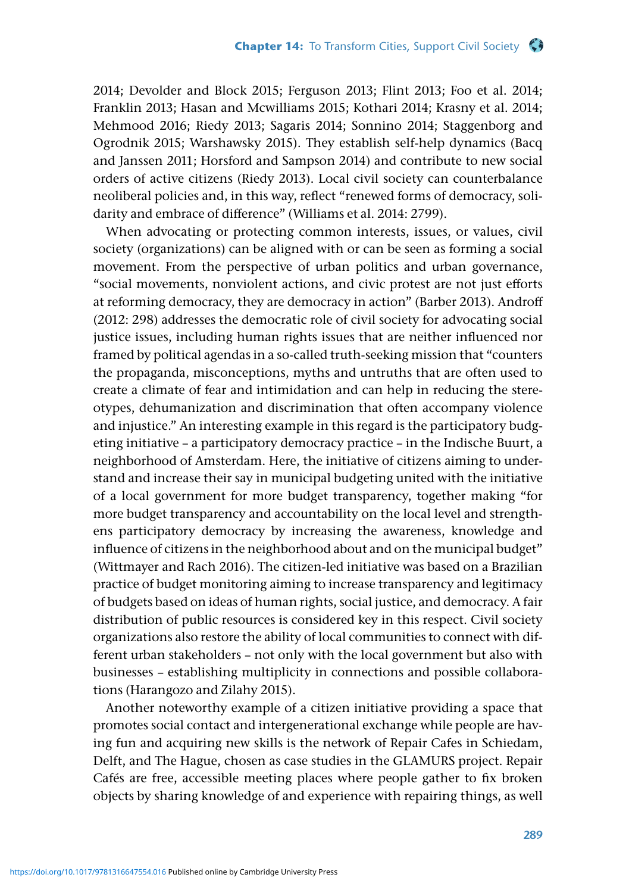2014; Devolder and Block 2015; Ferguson 2013; Flint 2013; Foo et al. 2014; Franklin 2013; Hasan and Mcwilliams 2015; Kothari 2014; Krasny et al. 2014; Mehmood 2016; Riedy 2013; Sagaris 2014; Sonnino 2014; Staggenborg and Ogrodnik 2015; Warshawsky 2015). They establish self-help dynamics (Bacq and Janssen 2011; Horsford and Sampson 2014) and contribute to new social orders of active citizens (Riedy 2013). Local civil society can counterbalance neoliberal policies and, in this way, reflect "renewed forms of democracy, solidarity and embrace of difference" (Williams et al. 2014: 2799).

When advocating or protecting common interests, issues, or values, civil society (organizations) can be aligned with or can be seen as forming a social movement. From the perspective of urban politics and urban governance, "social movements, nonviolent actions, and civic protest are not just efforts at reforming democracy, they are democracy in action" (Barber 2013). Androff (2012: 298) addresses the democratic role of civil society for advocating social justice issues, including human rights issues that are neither influenced nor framed by political agendas in a so-called truth-seeking mission that "counters the propaganda, misconceptions, myths and untruths that are often used to create a climate of fear and intimidation and can help in reducing the stereotypes, dehumanization and discrimination that often accompany violence and injustice." An interesting example in this regard is the participatory budgeting initiative – a participatory democracy practice – in the Indische Buurt, a neighborhood of Amsterdam. Here, the initiative of citizens aiming to understand and increase their say in municipal budgeting united with the initiative of a local government for more budget transparency, together making "for more budget transparency and accountability on the local level and strengthens participatory democracy by increasing the awareness, knowledge and influence of citizens in the neighborhood about and on the municipal budget" (Wittmayer and Rach 2016). The citizen-led initiative was based on a Brazilian practice of budget monitoring aiming to increase transparency and legitimacy of budgets based on ideas of human rights, social justice, and democracy. A fair distribution of public resources is considered key in this respect. Civil society organizations also restore the ability of local communities to connect with different urban stakeholders – not only with the local government but also with businesses – establishing multiplicity in connections and possible collaborations (Harangozo and Zilahy 2015).

Another noteworthy example of a citizen initiative providing a space that promotes social contact and intergenerational exchange while people are having fun and acquiring new skills is the network of Repair Cafes in Schiedam, Delft, and The Hague, chosen as case studies in the GLAMURS project. Repair Cafés are free, accessible meeting places where people gather to fix broken objects by sharing knowledge of and experience with repairing things, as well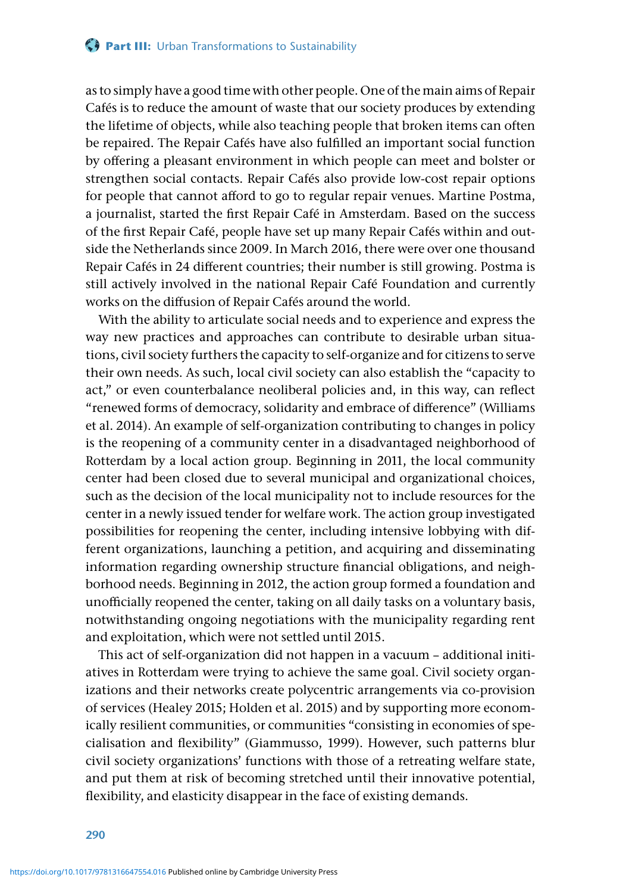as to simply have a good time with other people. One of the main aims of Repair Cafés is to reduce the amount of waste that our society produces by extending the lifetime of objects, while also teaching people that broken items can often be repaired. The Repair Cafés have also fulfilled an important social function by offering a pleasant environment in which people can meet and bolster or strengthen social contacts. Repair Cafés also provide low-cost repair options for people that cannot afford to go to regular repair venues. Martine Postma, a journalist, started the first Repair Café in Amsterdam. Based on the success of the first Repair Café, people have set up many Repair Cafés within and outside the Netherlands since 2009. In March 2016, there were over one thousand Repair Cafés in 24 different countries; their number is still growing. Postma is still actively involved in the national Repair Café Foundation and currently works on the diffusion of Repair Cafés around the world.

With the ability to articulate social needs and to experience and express the way new practices and approaches can contribute to desirable urban situations, civil society furthers the capacity to self-organize and for citizens to serve their own needs. As such, local civil society can also establish the "capacity to act," or even counterbalance neoliberal policies and, in this way, can reflect "renewed forms of democracy, solidarity and embrace of difference" (Williams et al. 2014). An example of self-organization contributing to changes in policy is the reopening of a community center in a disadvantaged neighborhood of Rotterdam by a local action group. Beginning in 2011, the local community center had been closed due to several municipal and organizational choices, such as the decision of the local municipality not to include resources for the center in a newly issued tender for welfare work. The action group investigated possibilities for reopening the center, including intensive lobbying with different organizations, launching a petition, and acquiring and disseminating information regarding ownership structure financial obligations, and neighborhood needs. Beginning in 2012, the action group formed a foundation and unofficially reopened the center, taking on all daily tasks on a voluntary basis, notwithstanding ongoing negotiations with the municipality regarding rent and exploitation, which were not settled until 2015.

This act of self-organization did not happen in a vacuum – additional initiatives in Rotterdam were trying to achieve the same goal. Civil society organizations and their networks create polycentric arrangements via co-provision of services (Healey 2015; Holden et al. 2015) and by supporting more economically resilient communities, or communities "consisting in economies of specialisation and flexibility" (Giammusso, 1999). However, such patterns blur civil society organizations' functions with those of a retreating welfare state, and put them at risk of becoming stretched until their innovative potential, flexibility, and elasticity disappear in the face of existing demands.

**290**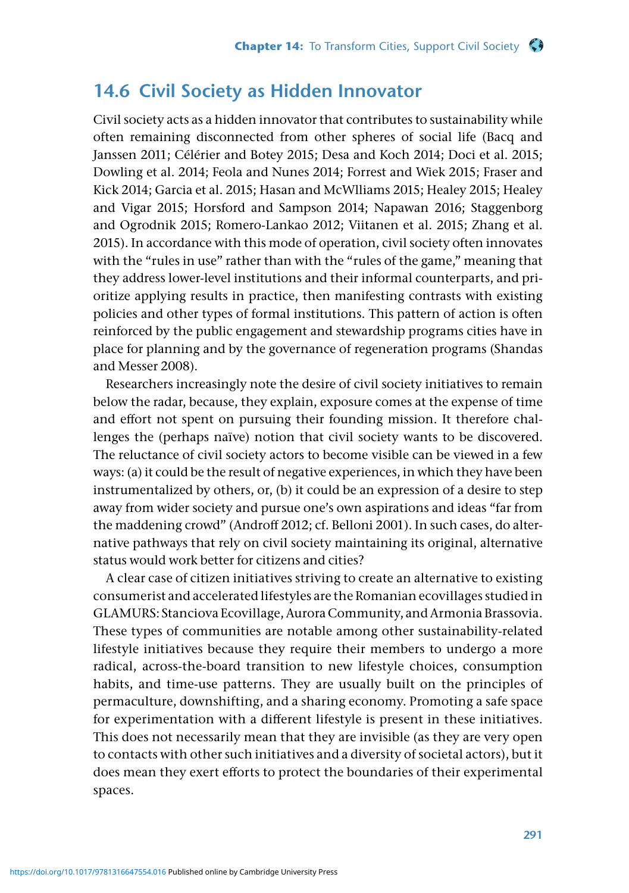#### **14.6 Civil Society as Hidden Innovator**

Civil society acts as a hidden innovator that contributes to sustainability while often remaining disconnected from other spheres of social life (Bacq and Janssen 2011; Célérier and Botey 2015; Desa and Koch 2014; Doci et al. 2015; Dowling et al. 2014; Feola and Nunes 2014; Forrest and Wiek 2015; Fraser and Kick 2014; Garcia et al. 2015; Hasan and McWlliams 2015; Healey 2015; Healey and Vigar 2015; Horsford and Sampson 2014; Napawan 2016; Staggenborg and Ogrodnik 2015; Romero-Lankao 2012; Viitanen et al. 2015; Zhang et al. 2015). In accordance with this mode of operation, civil society often innovates with the "rules in use" rather than with the "rules of the game," meaning that they address lower-level institutions and their informal counterparts, and prioritize applying results in practice, then manifesting contrasts with existing policies and other types of formal institutions. This pattern of action is often reinforced by the public engagement and stewardship programs cities have in place for planning and by the governance of regeneration programs (Shandas and Messer 2008).

Researchers increasingly note the desire of civil society initiatives to remain below the radar, because, they explain, exposure comes at the expense of time and effort not spent on pursuing their founding mission. It therefore challenges the (perhaps naïve) notion that civil society wants to be discovered. The reluctance of civil society actors to become visible can be viewed in a few ways: (a) it could be the result of negative experiences, in which they have been instrumentalized by others, or, (b) it could be an expression of a desire to step away from wider society and pursue one's own aspirations and ideas "far from the maddening crowd" (Androff 2012; cf. Belloni 2001). In such cases, do alternative pathways that rely on civil society maintaining its original, alternative status would work better for citizens and cities?

A clear case of citizen initiatives striving to create an alternative to existing consumerist and accelerated lifestyles are the Romanian ecovillages studied in GLAMURS: Stanciova Ecovillage, Aurora Community, and Armonia Brassovia. These types of communities are notable among other sustainability-related lifestyle initiatives because they require their members to undergo a more radical, across-the-board transition to new lifestyle choices, consumption habits, and time-use patterns. They are usually built on the principles of permaculture, downshifting, and a sharing economy. Promoting a safe space for experimentation with a different lifestyle is present in these initiatives. This does not necessarily mean that they are invisible (as they are very open to contacts with other such initiatives and a diversity of societal actors), but it does mean they exert efforts to protect the boundaries of their experimental spaces.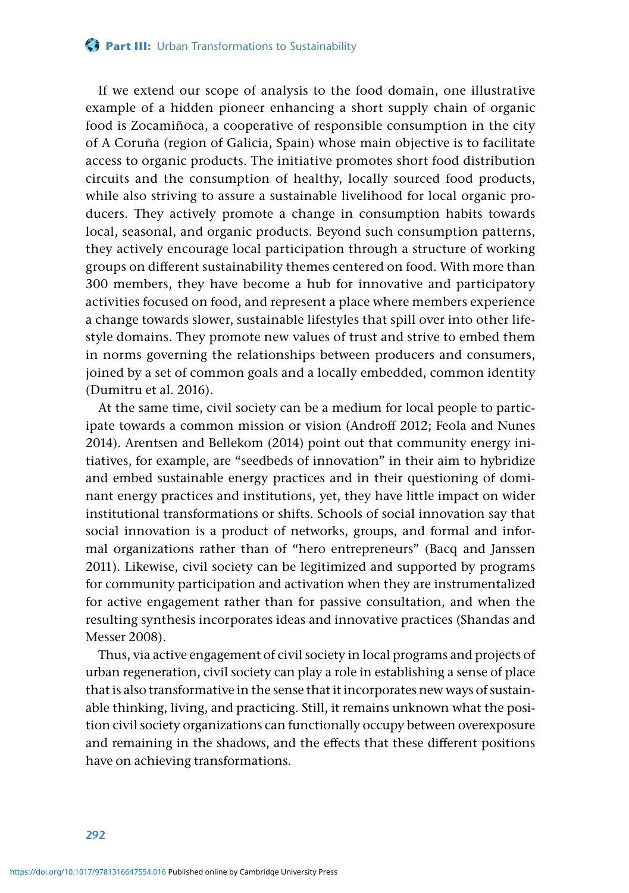If we extend our scope of analysis to the food domain, one illustrative example of a hidden pioneer enhancing a short supply chain of organic food is Zocamiñoca, a cooperative of responsible consumption in the city of A Coruña (region of Galicia, Spain) whose main objective is to facilitate access to organic products. The initiative promotes short food distribution circuits and the consumption of healthy, locally sourced food products, while also striving to assure a sustainable livelihood for local organic producers. They actively promote a change in consumption habits towards local, seasonal, and organic products. Beyond such consumption patterns, they actively encourage local participation through a structure of working groups on different sustainability themes centered on food. With more than 300 members, they have become a hub for innovative and participatory activities focused on food, and represent a place where members experience a change towards slower, sustainable lifestyles that spill over into other lifestyle domains. They promote new values of trust and strive to embed them in norms governing the relationships between producers and consumers, joined by a set of common goals and a locally embedded, common identity (Dumitru et al. 2016).

At the same time, civil society can be a medium for local people to participate towards a common mission or vision (Androff 2012; Feola and Nunes 2014). Arentsen and Bellekom (2014) point out that community energy initiatives, for example, are "seedbeds of innovation" in their aim to hybridize and embed sustainable energy practices and in their questioning of dominant energy practices and institutions, yet, they have little impact on wider institutional transformations or shifts. Schools of social innovation say that social innovation is a product of networks, groups, and formal and informal organizations rather than of "hero entrepreneurs" (Bacq and Janssen 2011). Likewise, civil society can be legitimized and supported by programs for community participation and activation when they are instrumentalized for active engagement rather than for passive consultation, and when the resulting synthesis incorporates ideas and innovative practices (Shandas and Messer 2008).

Thus, via active engagement of civil society in local programs and projects of urban regeneration, civil society can play a role in establishing a sense of place that is also transformative in the sense that it incorporates new ways of sustainable thinking, living, and practicing. Still, it remains unknown what the position civil society organizations can functionally occupy between overexposure and remaining in the shadows, and the effects that these different positions have on achieving transformations.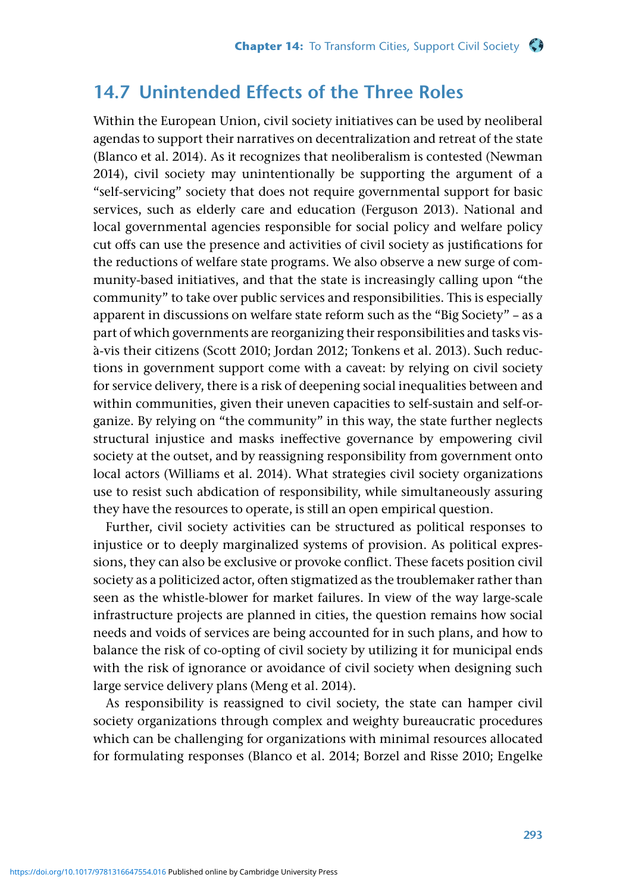### **14.7 Unintended Effects of the Three Roles**

Within the European Union, civil society initiatives can be used by neoliberal agendas to support their narratives on decentralization and retreat of the state (Blanco et al. 2014). As it recognizes that neoliberalism is contested (Newman 2014), civil society may unintentionally be supporting the argument of a "self-servicing" society that does not require governmental support for basic services, such as elderly care and education (Ferguson 2013). National and local governmental agencies responsible for social policy and welfare policy cut offs can use the presence and activities of civil society as justifications for the reductions of welfare state programs. We also observe a new surge of community-based initiatives, and that the state is increasingly calling upon "the community" to take over public services and responsibilities. This is especially apparent in discussions on welfare state reform such as the "Big Society" – as a part of which governments are reorganizing their responsibilities and tasks visà-vis their citizens (Scott 2010; Jordan 2012; Tonkens et al. 2013). Such reductions in government support come with a caveat: by relying on civil society for service delivery, there is a risk of deepening social inequalities between and within communities, given their uneven capacities to self-sustain and self-organize. By relying on "the community" in this way, the state further neglects structural injustice and masks ineffective governance by empowering civil society at the outset, and by reassigning responsibility from government onto local actors (Williams et al. 2014). What strategies civil society organizations use to resist such abdication of responsibility, while simultaneously assuring they have the resources to operate, is still an open empirical question.

Further, civil society activities can be structured as political responses to injustice or to deeply marginalized systems of provision. As political expressions, they can also be exclusive or provoke conflict. These facets position civil society as a politicized actor, often stigmatized as the troublemaker rather than seen as the whistle-blower for market failures. In view of the way large-scale infrastructure projects are planned in cities, the question remains how social needs and voids of services are being accounted for in such plans, and how to balance the risk of co-opting of civil society by utilizing it for municipal ends with the risk of ignorance or avoidance of civil society when designing such large service delivery plans (Meng et al. 2014).

As responsibility is reassigned to civil society, the state can hamper civil society organizations through complex and weighty bureaucratic procedures which can be challenging for organizations with minimal resources allocated for formulating responses (Blanco et al. 2014; Borzel and Risse 2010; Engelke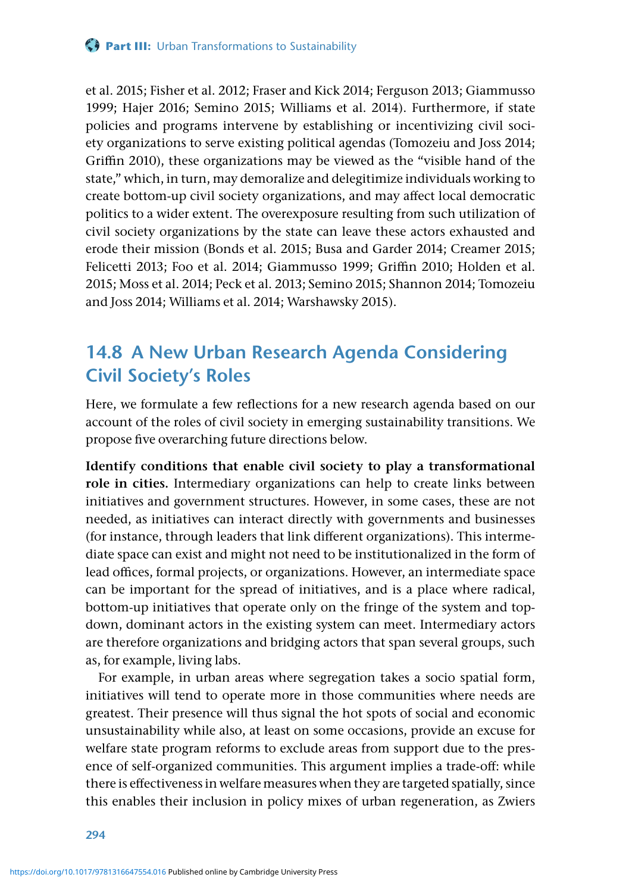et al. 2015; Fisher et al. 2012; Fraser and Kick 2014; Ferguson 2013; Giammusso 1999; Hajer 2016; Semino 2015; Williams et al. 2014). Furthermore, if state policies and programs intervene by establishing or incentivizing civil society organizations to serve existing political agendas (Tomozeiu and Joss 2014; Griffin 2010), these organizations may be viewed as the "visible hand of the state," which, in turn, may demoralize and delegitimize individuals working to create bottom-up civil society organizations, and may affect local democratic politics to a wider extent. The overexposure resulting from such utilization of civil society organizations by the state can leave these actors exhausted and erode their mission (Bonds et al. 2015; Busa and Garder 2014; Creamer 2015; Felicetti 2013; Foo et al. 2014; Giammusso 1999; Griffin 2010; Holden et al. 2015; Moss et al. 2014; Peck et al. 2013; Semino 2015; Shannon 2014; Tomozeiu and Joss 2014; Williams et al. 2014; Warshawsky 2015).

# **14.8 A New Urban Research Agenda Considering Civil Society's Roles**

Here, we formulate a few reflections for a new research agenda based on our account of the roles of civil society in emerging sustainability transitions. We propose five overarching future directions below.

**Identify conditions that enable civil society to play a transformational role in cities.** Intermediary organizations can help to create links between initiatives and government structures. However, in some cases, these are not needed, as initiatives can interact directly with governments and businesses (for instance, through leaders that link different organizations). This intermediate space can exist and might not need to be institutionalized in the form of lead offices, formal projects, or organizations. However, an intermediate space can be important for the spread of initiatives, and is a place where radical, bottom-up initiatives that operate only on the fringe of the system and topdown, dominant actors in the existing system can meet. Intermediary actors are therefore organizations and bridging actors that span several groups, such as, for example, living labs.

For example, in urban areas where segregation takes a socio spatial form, initiatives will tend to operate more in those communities where needs are greatest. Their presence will thus signal the hot spots of social and economic unsustainability while also, at least on some occasions, provide an excuse for welfare state program reforms to exclude areas from support due to the presence of self-organized communities. This argument implies a trade-off: while there is effectiveness in welfare measures when they are targeted spatially, since this enables their inclusion in policy mixes of urban regeneration, as Zwiers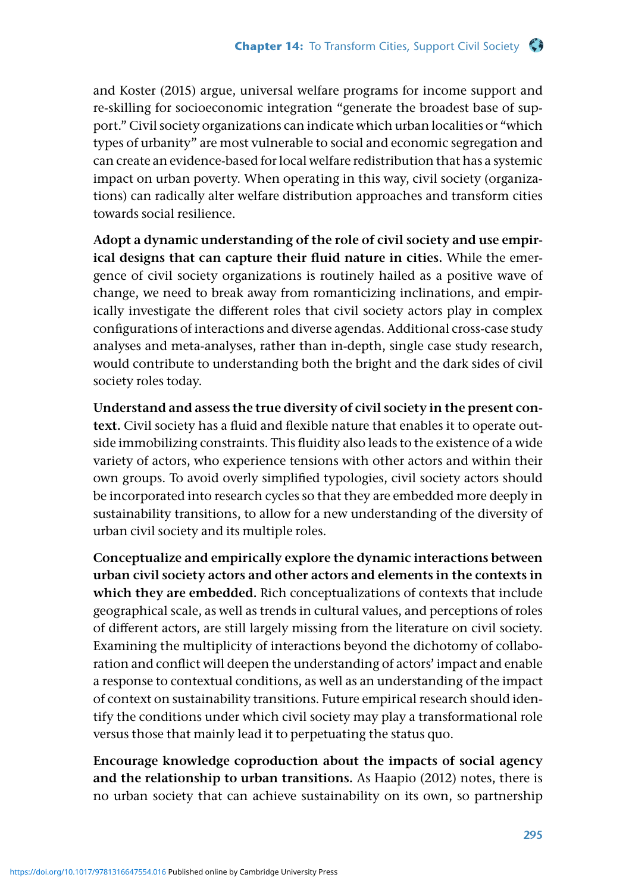and Koster (2015) argue, universal welfare programs for income support and re-skilling for socioeconomic integration "generate the broadest base of support." Civil society organizations can indicate which urban localities or "which types of urbanity" are most vulnerable to social and economic segregation and can create an evidence-based for local welfare redistribution that has a systemic impact on urban poverty. When operating in this way, civil society (organizations) can radically alter welfare distribution approaches and transform cities towards social resilience.

**Adopt a dynamic understanding of the role of civil society and use empirical designs that can capture their fluid nature in cities.** While the emergence of civil society organizations is routinely hailed as a positive wave of change, we need to break away from romanticizing inclinations, and empirically investigate the different roles that civil society actors play in complex configurations of interactions and diverse agendas. Additional cross-case study analyses and meta-analyses, rather than in-depth, single case study research, would contribute to understanding both the bright and the dark sides of civil society roles today.

**Understand and assess the true diversity of civil society in the present context.** Civil society has a fluid and flexible nature that enables it to operate outside immobilizing constraints. This fluidity also leads to the existence of a wide variety of actors, who experience tensions with other actors and within their own groups. To avoid overly simplified typologies, civil society actors should be incorporated into research cycles so that they are embedded more deeply in sustainability transitions, to allow for a new understanding of the diversity of urban civil society and its multiple roles.

**Conceptualize and empirically explore the dynamic interactions between urban civil society actors and other actors and elements in the contexts in which they are embedded.** Rich conceptualizations of contexts that include geographical scale, as well as trends in cultural values, and perceptions of roles of different actors, are still largely missing from the literature on civil society. Examining the multiplicity of interactions beyond the dichotomy of collaboration and conflict will deepen the understanding of actors' impact and enable a response to contextual conditions, as well as an understanding of the impact of context on sustainability transitions. Future empirical research should identify the conditions under which civil society may play a transformational role versus those that mainly lead it to perpetuating the status quo.

**Encourage knowledge coproduction about the impacts of social agency and the relationship to urban transitions.** As Haapio (2012) notes, there is no urban society that can achieve sustainability on its own, so partnership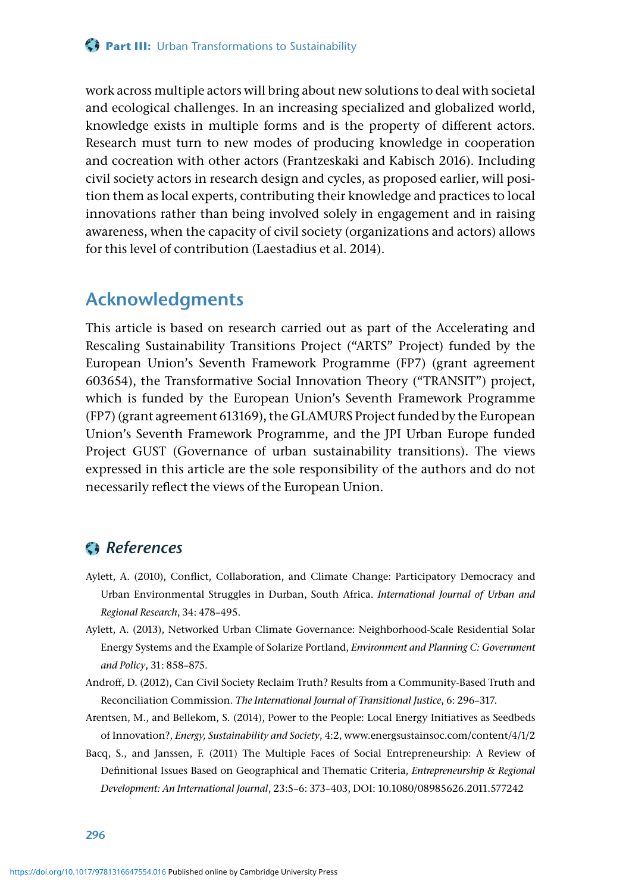work across multiple actors will bring about new solutions to deal with societal and ecological challenges. In an increasing specialized and globalized world, knowledge exists in multiple forms and is the property of different actors. Research must turn to new modes of producing knowledge in cooperation and cocreation with other actors (Frantzeskaki and Kabisch 2016). Including civil society actors in research design and cycles, as proposed earlier, will position them as local experts, contributing their knowledge and practices to local innovations rather than being involved solely in engagement and in raising awareness, when the capacity of civil society (organizations and actors) allows for this level of contribution (Laestadius et al. 2014).

### **Acknowledgments**

This article is based on research carried out as part of the Accelerating and Rescaling Sustainability Transitions Project ("ARTS" Project) funded by the European Union's Seventh Framework Programme (FP7) (grant agreement 603654), the Transformative Social Innovation Theory ("TRANSIT") project, which is funded by the European Union's Seventh Framework Programme (FP7) (grant agreement 613169), the GLAMURS Project funded by the European Union's Seventh Framework Programme, and the JPI Urban Europe funded Project GUST (Governance of urban sustainability transitions). The views expressed in this article are the sole responsibility of the authors and do not necessarily reflect the views of the European Union.

#### *References*

- Aylett, A. (2010), Conflict, Collaboration, and Climate Change: Participatory Democracy and Urban Environmental Struggles in Durban, South Africa. *International Journal of Urban and Regional Research*, 34: 478–495.
- Aylett, A. (2013), Networked Urban Climate Governance: Neighborhood-Scale Residential Solar Energy Systems and the Example of Solarize Portland, *Environment and Planning C: Government and Policy*, 31: 858–875.
- Androff, D. (2012), Can Civil Society Reclaim Truth? Results from a Community-Based Truth and Reconciliation Commission. *The International Journal of Transitional Justice*, 6: 296–317.
- Arentsen, M., and Bellekom, S. (2014), Power to the People: Local Energy Initiatives as Seedbeds of Innovation?, *Energy, Sustainability and Society*, 4:2, www.energsustainsoc.com/content/4/1/2
- Bacq, S., and Janssen, F. (2011) The Multiple Faces of Social Entrepreneurship: A Review of Definitional Issues Based on Geographical and Thematic Criteria, *Entrepreneurship & Regional Development: An International Journal*, 23:5–6: 373–403, DOI: 10.1080/08985626.2011.577242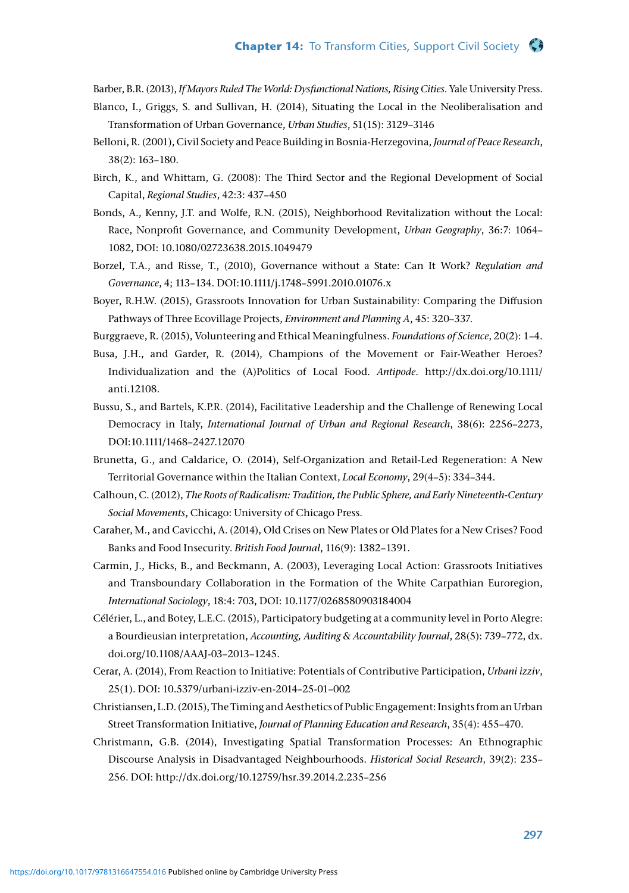Barber, B.R. (2013), *If Mayors Ruled The World: Dysfunctional Nations, Rising Cities*. Yale University Press.

- Blanco, I., Griggs, S. and Sullivan, H. (2014), Situating the Local in the Neoliberalisation and Transformation of Urban Governance, *Urban Studies*, 51(15): 3129–3146
- Belloni, R. (2001), Civil Society and Peace Building in Bosnia-Herzegovina, *Journal of Peace Research*, 38(2): 163–180.
- Birch, K., and Whittam, G. (2008): The Third Sector and the Regional Development of Social Capital, *Regional Studies*, 42:3: 437–450
- Bonds, A., Kenny, J.T. and Wolfe, R.N. (2015), Neighborhood Revitalization without the Local: Race, Nonprofit Governance, and Community Development, *Urban Geography*, 36:7: 1064– 1082, DOI: 10.1080/02723638.2015.1049479
- Borzel, T.A., and Risse, T., (2010), Governance without a State: Can It Work? *Regulation and Governance*, 4; 113–134. DOI:10.1111/j.1748–5991.2010.01076.x
- Boyer, R.H.W. (2015), Grassroots Innovation for Urban Sustainability: Comparing the Diffusion Pathways of Three Ecovillage Projects, *Environment and Planning A*, 45: 320–337.
- Burggraeve, R. (2015), Volunteering and Ethical Meaningfulness. *Foundations of Science*, 20(2): 1–4.
- Busa, J.H., and Garder, R. (2014), Champions of the Movement or Fair-Weather Heroes? Individualization and the (A)Politics of Local Food. *Antipode*. http://dx.doi.org/10.1111/ anti.12108.
- Bussu, S., and Bartels, K.P.R. (2014), Facilitative Leadership and the Challenge of Renewing Local Democracy in Italy, *International Journal of Urban and Regional Research*, 38(6): 2256–2273, DOI:10.1111/1468–2427.12070
- Brunetta, G., and Caldarice, O. (2014), Self-Organization and Retail-Led Regeneration: A New Territorial Governance within the Italian Context, *Local Economy*, 29(4–5): 334–344.
- Calhoun, C. (2012), *The Roots of Radicalism: Tradition, the Public Sphere, and Early Nineteenth-Century Social Movements*, Chicago: University of Chicago Press.
- Caraher, M., and Cavicchi, A. (2014), Old Crises on New Plates or Old Plates for a New Crises? Food Banks and Food Insecurity. *British Food Journal*, 116(9): 1382–1391.
- Carmin, J., Hicks, B., and Beckmann, A. (2003), Leveraging Local Action: Grassroots Initiatives and Transboundary Collaboration in the Formation of the White Carpathian Euroregion, *International Sociology*, 18:4: 703, DOI: 10.1177/0268580903184004
- Célérier, L., and Botey, L.E.C. (2015), Participatory budgeting at a community level in Porto Alegre: a Bourdieusian interpretation, *Accounting, Auditing & Accountability Journal*, 28(5): 739–772, dx. doi.org/10.1108/AAAJ-03–2013–1245.
- Cerar, A. (2014), From Reaction to Initiative: Potentials of Contributive Participation, *Urbani izziv*, 25(1). DOI: 10.5379/urbani-izziv-en-2014–25-01–002
- Christiansen, L.D. (2015), The Timing and Aesthetics of Public Engagement: Insights from an Urban Street Transformation Initiative, *Journal of Planning Education and Research*, 35(4): 455–470.
- Christmann, G.B. (2014), Investigating Spatial Transformation Processes: An Ethnographic Discourse Analysis in Disadvantaged Neighbourhoods. *Historical Social Research*, 39(2): 235– 256. DOI: http://dx.doi.org/10.12759/hsr.39.2014.2.235–256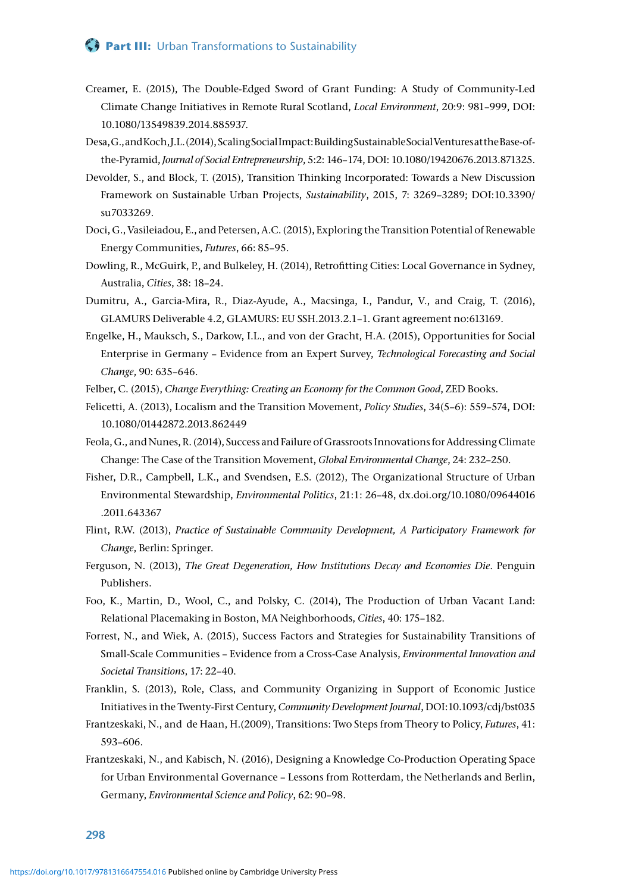#### **Part III:** Urban Transformations to Sustainability

- Creamer, E. (2015), The Double-Edged Sword of Grant Funding: A Study of Community-Led Climate Change Initiatives in Remote Rural Scotland, *Local Environment*, 20:9: 981–999, DOI: 10.1080/13549839.2014.885937.
- Desa, G., and Koch, J.L. (2014), Scaling Social Impact: Building Sustainable Social Ventures at the Base-ofthe-Pyramid, *Journal of Social Entrepreneurship*, 5:2: 146–174, DOI: 10.1080/19420676.2013.871325.
- Devolder, S., and Block, T. (2015), Transition Thinking Incorporated: Towards a New Discussion Framework on Sustainable Urban Projects, *Sustainability*, 2015, 7: 3269–3289; DOI:10.3390/ su7033269.
- Doci, G., Vasileiadou, E., and Petersen, A.C. (2015), Exploring the Transition Potential of Renewable Energy Communities, *Futures*, 66: 85–95.
- Dowling, R., McGuirk, P., and Bulkeley, H. (2014), Retrofitting Cities: Local Governance in Sydney, Australia, *Cities*, 38: 18–24.
- Dumitru, A., Garcia-Mira, R., Diaz-Ayude, A., Macsinga, I., Pandur, V., and Craig, T. (2016), GLAMURS Deliverable 4.2, GLAMURS: EU SSH.2013.2.1–1. Grant agreement no:613169.
- Engelke, H., Mauksch, S., Darkow, I.L., and von der Gracht, H.A. (2015), Opportunities for Social Enterprise in Germany – Evidence from an Expert Survey, *Technological Forecasting and Social Change*, 90: 635–646.
- Felber, C. (2015), *Change Everything: Creating an Economy for the Common Good*, ZED Books.
- Felicetti, A. (2013), Localism and the Transition Movement, *Policy Studies*, 34(5–6): 559–574, DOI: 10.1080/01442872.2013.862449
- Feola, G., and Nunes, R. (2014), Success and Failure of Grassroots Innovations for Addressing Climate Change: The Case of the Transition Movement, *Global Environmental Change*, 24: 232–250.
- Fisher, D.R., Campbell, L.K., and Svendsen, E.S. (2012), The Organizational Structure of Urban Environmental Stewardship, *Environmental Politics*, 21:1: 26–48, dx.doi.org/10.1080/09644016 .2011.643367
- Flint, R.W. (2013), *Practice of Sustainable Community Development, A Participatory Framework for Change*, Berlin: Springer.
- Ferguson, N. (2013), *The Great Degeneration, How Institutions Decay and Economies Die*. Penguin Publishers.
- Foo, K., Martin, D., Wool, C., and Polsky, C. (2014), The Production of Urban Vacant Land: Relational Placemaking in Boston, MA Neighborhoods, *Cities*, 40: 175–182.
- Forrest, N., and Wiek, A. (2015), Success Factors and Strategies for Sustainability Transitions of Small-Scale Communities – Evidence from a Cross-Case Analysis, *Environmental Innovation and Societal Transitions*, 17: 22–40.
- Franklin, S. (2013), Role, Class, and Community Organizing in Support of Economic Justice Initiatives in the Twenty-First Century, *Community Development Journal*, DOI:10.1093/cdj/bst035
- Frantzeskaki, N., and de Haan, H.(2009), Transitions: Two Steps from Theory to Policy, *Futures*, 41: 593–606.
- Frantzeskaki, N., and Kabisch, N. (2016), Designing a Knowledge Co-Production Operating Space for Urban Environmental Governance – Lessons from Rotterdam, the Netherlands and Berlin, Germany, *Environmental Science and Policy*, 62: 90–98.

**298**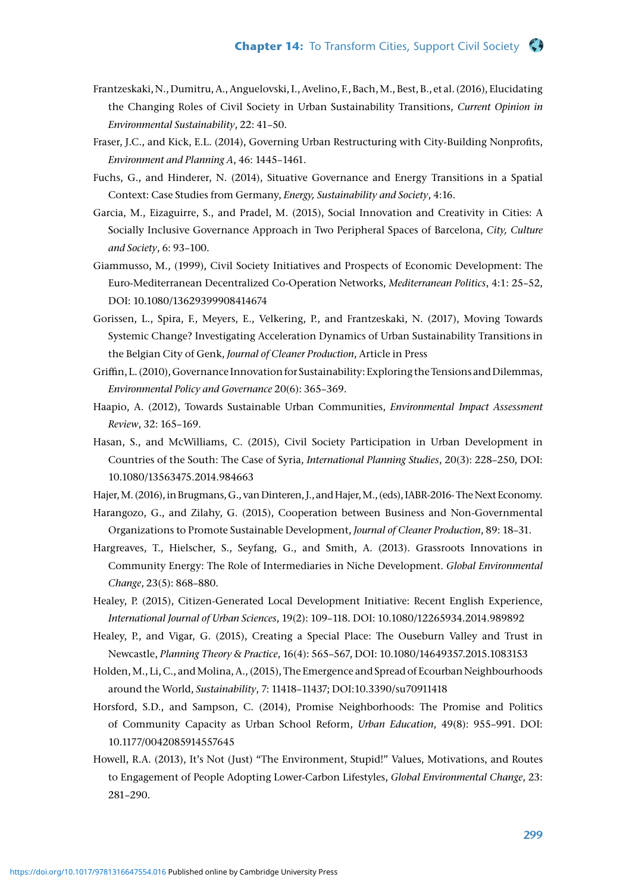- Frantzeskaki, N., Dumitru, A., Anguelovski, I., Avelino, F., Bach, M., Best, B., et al. (2016), Elucidating the Changing Roles of Civil Society in Urban Sustainability Transitions, *Current Opinion in Environmental Sustainability*, 22: 41–50.
- Fraser, J.C., and Kick, E.L. (2014), Governing Urban Restructuring with City-Building Nonprofits, *Environment and Planning A*, 46: 1445–1461.
- Fuchs, G., and Hinderer, N. (2014), Situative Governance and Energy Transitions in a Spatial Context: Case Studies from Germany, *Energy, Sustainability and Society*, 4:16.
- Garcia, M., Eizaguirre, S., and Pradel, M. (2015), Social Innovation and Creativity in Cities: A Socially Inclusive Governance Approach in Two Peripheral Spaces of Barcelona, *City, Culture and Society*, 6: 93–100.
- Giammusso, M., (1999), Civil Society Initiatives and Prospects of Economic Development: The Euro-Mediterranean Decentralized Co-Operation Networks, *Mediterranean Politics*, 4:1: 25–52, DOI: 10.1080/13629399908414674
- Gorissen, L., Spira, F., Meyers, E., Velkering, P., and Frantzeskaki, N. (2017), Moving Towards Systemic Change? Investigating Acceleration Dynamics of Urban Sustainability Transitions in the Belgian City of Genk, *Journal of Cleaner Production*, Article in Press
- Griffin, L. (2010), Governance Innovation for Sustainability: Exploring the Tensions and Dilemmas, *Environmental Policy and Governance* 20(6): 365–369.
- Haapio, A. (2012), Towards Sustainable Urban Communities, *Environmental Impact Assessment Review*, 32: 165–169.
- Hasan, S., and McWilliams, C. (2015), Civil Society Participation in Urban Development in Countries of the South: The Case of Syria, *International Planning Studies*, 20(3): 228–250, DOI: 10.1080/13563475.2014.984663

Hajer, M. (2016), in Brugmans, G., van Dinteren, J., and Hajer, M., (eds), IABR-2016- The Next Economy.

- Harangozo, G., and Zilahy, G. (2015), Cooperation between Business and Non-Governmental Organizations to Promote Sustainable Development, *Journal of Cleaner Production*, 89: 18–31.
- Hargreaves, T., Hielscher, S., Seyfang, G., and Smith, A. (2013). Grassroots Innovations in Community Energy: The Role of Intermediaries in Niche Development. *Global Environmental Change*, 23(5): 868–880.
- Healey, P. (2015), Citizen-Generated Local Development Initiative: Recent English Experience, *International Journal of Urban Sciences*, 19(2): 109–118. DOI: 10.1080/12265934.2014.989892
- Healey, P., and Vigar, G. (2015), Creating a Special Place: The Ouseburn Valley and Trust in Newcastle, *Planning Theory & Practice*, 16(4): 565–567, DOI: 10.1080/14649357.2015.1083153
- Holden, M., Li, C., and Molina, A., (2015), The Emergence and Spread of Ecourban Neighbourhoods around the World, *Sustainability*, 7: 11418–11437; DOI:10.3390/su70911418
- Horsford, S.D., and Sampson, C. (2014), Promise Neighborhoods: The Promise and Politics of Community Capacity as Urban School Reform, *Urban Education*, 49(8): 955–991. DOI: 10.1177/0042085914557645
- Howell, R.A. (2013), It's Not (Just) "The Environment, Stupid!" Values, Motivations, and Routes to Engagement of People Adopting Lower-Carbon Lifestyles, *Global Environmental Change*, 23: 281–290.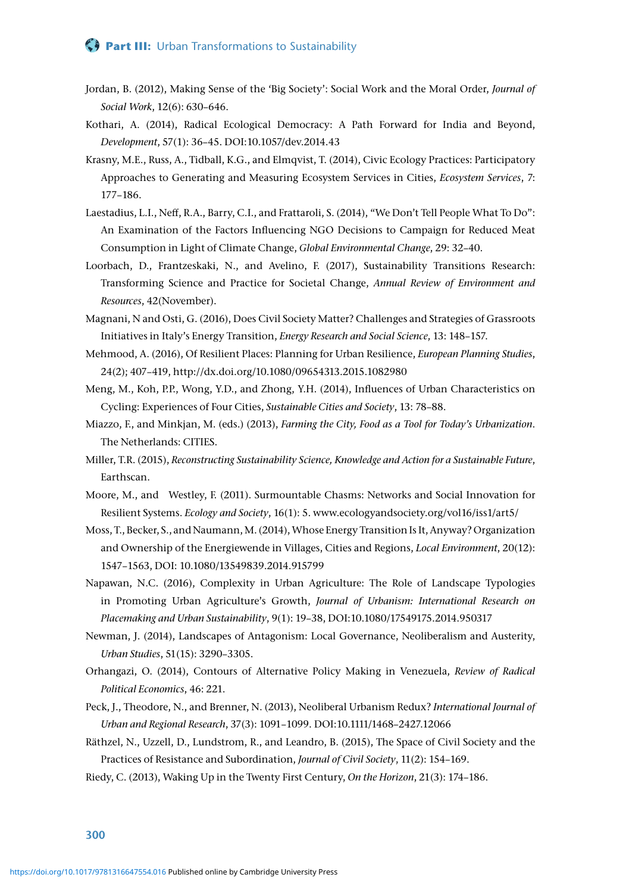#### **Part III:** Urban Transformations to Sustainability

- Jordan, B. (2012), Making Sense of the 'Big Society': Social Work and the Moral Order, *Journal of Social Work*, 12(6): 630–646.
- Kothari, A. (2014), Radical Ecological Democracy: A Path Forward for India and Beyond, *Development*, 57(1): 36–45. DOI:10.1057/dev.2014.43
- Krasny, M.E., Russ, A., Tidball, K.G., and Elmqvist, T. (2014), Civic Ecology Practices: Participatory Approaches to Generating and Measuring Ecosystem Services in Cities, *Ecosystem Services*, 7: 177–186.
- Laestadius, L.I., Neff, R.A., Barry, C.I., and Frattaroli, S. (2014), "We Don't Tell People What To Do": An Examination of the Factors Influencing NGO Decisions to Campaign for Reduced Meat Consumption in Light of Climate Change, *Global Environmental Change*, 29: 32–40.
- Loorbach, D., Frantzeskaki, N., and Avelino, F. (2017), Sustainability Transitions Research: Transforming Science and Practice for Societal Change, *Annual Review of Environment and Resources*, 42(November).
- Magnani, N and Osti, G. (2016), Does Civil Society Matter? Challenges and Strategies of Grassroots Initiatives in Italy's Energy Transition, *Energy Research and Social Science*, 13: 148–157.
- Mehmood, A. (2016), Of Resilient Places: Planning for Urban Resilience, *European Planning Studies*, 24(2); 407–419, http://dx.doi.org/10.1080/09654313.2015.1082980
- Meng, M., Koh, P.P., Wong, Y.D., and Zhong, Y.H. (2014), Influences of Urban Characteristics on Cycling: Experiences of Four Cities, *Sustainable Cities and Society*, 13: 78–88.
- Miazzo, F., and Minkjan, M. (eds.) (2013), *Farming the City, Food as a Tool for Today's Urbanization*. The Netherlands: CITIES.
- Miller, T.R. (2015), *Reconstructing Sustainability Science, Knowledge and Action for a Sustainable Future*, Earthscan.
- Moore, M., and Westley, F. (2011). Surmountable Chasms: Networks and Social Innovation for Resilient Systems. *Ecology and Society*, 16(1): 5. www.ecologyandsociety.org/vol16/iss1/art5/
- Moss, T., Becker, S., and Naumann, M. (2014), Whose Energy Transition Is It, Anyway? Organization and Ownership of the Energiewende in Villages, Cities and Regions, *Local Environment*, 20(12): 1547–1563, DOI: 10.1080/13549839.2014.915799
- Napawan, N.C. (2016), Complexity in Urban Agriculture: The Role of Landscape Typologies in Promoting Urban Agriculture's Growth, *Journal of Urbanism: International Research on Placemaking and Urban Sustainability*, 9(1): 19–38, DOI:10.1080/17549175.2014.950317
- Newman, J. (2014), Landscapes of Antagonism: Local Governance, Neoliberalism and Austerity, *Urban Studies*, 51(15): 3290–3305.
- Orhangazi, O. (2014), Contours of Alternative Policy Making in Venezuela, *Review of Radical Political Economics*, 46: 221.
- Peck, J., Theodore, N., and Brenner, N. (2013), Neoliberal Urbanism Redux? *International Journal of Urban and Regional Research*, 37(3): 1091–1099. DOI:10.1111/1468–2427.12066
- Räthzel, N., Uzzell, D., Lundstrom, R., and Leandro, B. (2015), The Space of Civil Society and the Practices of Resistance and Subordination, *Journal of Civil Society*, 11(2): 154–169.
- Riedy, C. (2013), Waking Up in the Twenty First Century, *On the Horizon*, 21(3): 174–186.

**300**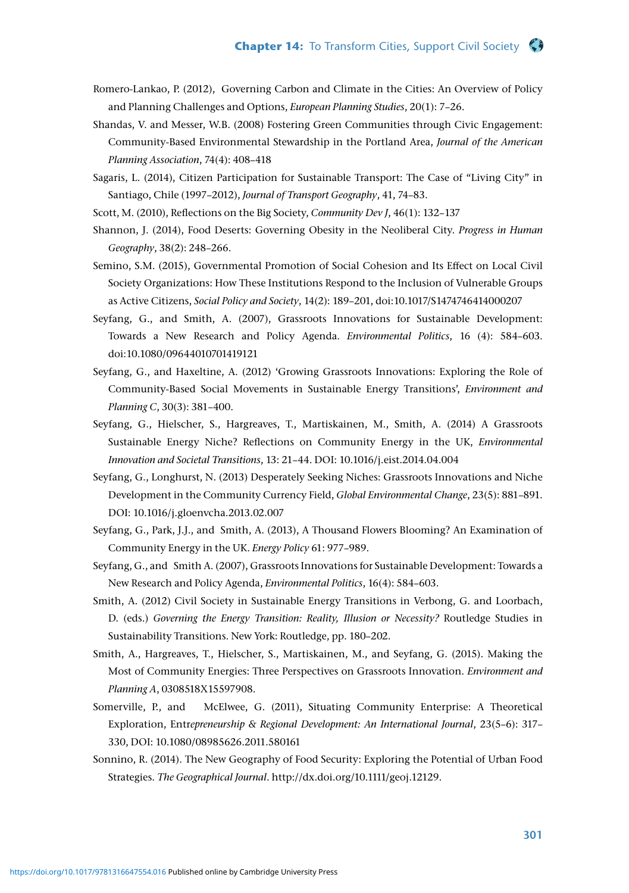- Romero-Lankao, P. (2012), Governing Carbon and Climate in the Cities: An Overview of Policy and Planning Challenges and Options, *European Planning Studies*, 20(1): 7–26.
- Shandas, V. and Messer, W.B. (2008) Fostering Green Communities through Civic Engagement: Community-Based Environmental Stewardship in the Portland Area, *Journal of the American Planning Association*, 74(4): 408–418
- Sagaris, L. (2014), Citizen Participation for Sustainable Transport: The Case of "Living City" in Santiago, Chile (1997–2012), *Journal of Transport Geography*, 41, 74–83.
- Scott, M. (2010), Reflections on the Big Society, *Community Dev J*, 46(1): 132–137
- Shannon, J. (2014), Food Deserts: Governing Obesity in the Neoliberal City. *Progress in Human Geography*, 38(2): 248–266.
- Semino, S.M. (2015), Governmental Promotion of Social Cohesion and Its Effect on Local Civil Society Organizations: How These Institutions Respond to the Inclusion of Vulnerable Groups as Active Citizens, *Social Policy and Society*, 14(2): 189–201, doi:10.1017/S1474746414000207
- Seyfang, G., and Smith, A. (2007), Grassroots Innovations for Sustainable Development: Towards a New Research and Policy Agenda. *Environmental Politics*, 16 (4): 584–603. doi:10.1080/09644010701419121
- Seyfang, G., and Haxeltine, A. (2012) 'Growing Grassroots Innovations: Exploring the Role of Community-Based Social Movements in Sustainable Energy Transitions', *Environment and Planning C*, 30(3): 381–400.
- Seyfang, G., Hielscher, S., Hargreaves, T., Martiskainen, M., Smith, A. (2014) A Grassroots Sustainable Energy Niche? Reflections on Community Energy in the UK, *Environmental Innovation and Societal Transitions*, 13: 21–44. DOI: 10.1016/j.eist.2014.04.004
- Seyfang, G., Longhurst, N. (2013) Desperately Seeking Niches: Grassroots Innovations and Niche Development in the Community Currency Field, *Global Environmental Change*, 23(5): 881–891. DOI: 10.1016/j.gloenvcha.2013.02.007
- Seyfang, G., Park, J.J., and Smith, A. (2013), A Thousand Flowers Blooming? An Examination of Community Energy in the UK. *Energy Policy* 61: 977–989.
- Seyfang, G., and Smith A. (2007), Grassroots Innovations for Sustainable Development: Towards a New Research and Policy Agenda, *Environmental Politics*, 16(4): 584–603.
- Smith, A. (2012) Civil Society in Sustainable Energy Transitions in Verbong, G. and Loorbach, D. (eds.) *Governing the Energy Transition: Reality, Illusion or Necessity?* Routledge Studies in Sustainability Transitions. New York: Routledge, pp. 180–202.
- Smith, A., Hargreaves, T., Hielscher, S., Martiskainen, M., and Seyfang, G. (2015). Making the Most of Community Energies: Three Perspectives on Grassroots Innovation. *Environment and Planning A*, 0308518X15597908.
- Somerville, P., and McElwee, G. (2011), Situating Community Enterprise: A Theoretical Exploration, Entr*epreneurship & Regional Development: An International Journal*, 23(5–6): 317– 330, DOI: 10.1080/08985626.2011.580161
- Sonnino, R. (2014). The New Geography of Food Security: Exploring the Potential of Urban Food Strategies. *The Geographical Journal*. http://dx.doi.org/10.1111/geoj.12129.